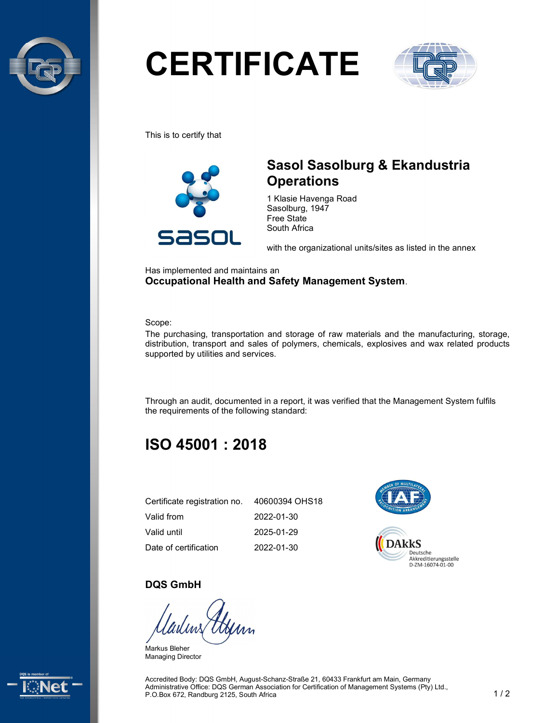

# **CERTIFICATE**



This is to certify that



## Sasol Sasolburg & Ekandustria **Operations**

1 Klasie Havenga Road Sasolburg, 1947 Free State South Africa

with the organizational units/sites as listed in the annex

Has implemented and maintains an Occupational Health and Safety Management System.

Scope:

The purchasing, transportation and storage of raw materials and the manufacturing, storage, distribution, transport and sales of polymers, chemicals, explosives and wax related products supported by utilities and services.

Through an audit, documented in a report, it was verified that the Management System fulfils the requirements of the following standard:

# ISO 45001 : 2018

| Certificate registration no. | 40600394 OHS18 |
|------------------------------|----------------|
| Valid from                   | 2022-01-30     |
| Valid until                  | 2025-01-29     |
| Date of certification        | 2022-01-30     |



#### DQS GmbH

Markus Bleher Managing Director



Accredited Body: DQS GmbH, August-Schanz-Straße 21, 60433 Frankfurt am Main, Germany Administrative Office: DQS German Association for Certification of Management Systems (Pty) Ltd., P.O.Box 672, Randburg 2125, South Africa 1 / 2